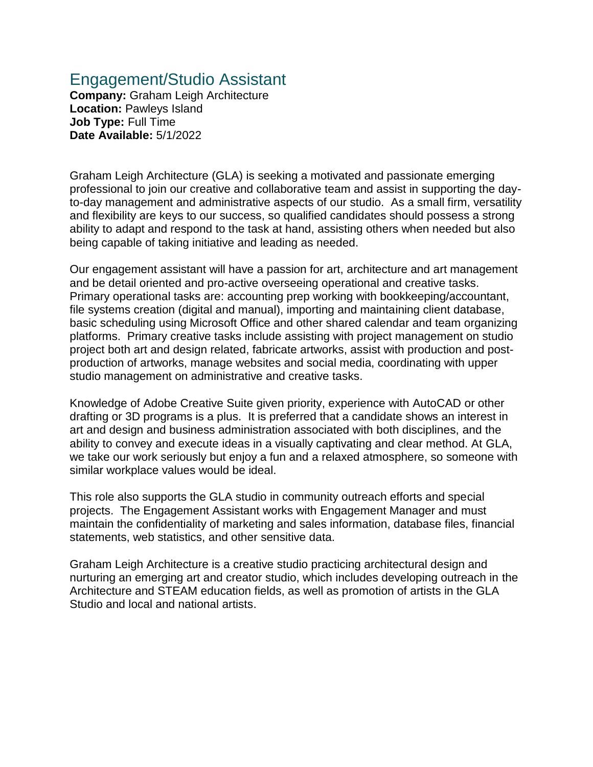## Engagement/Studio Assistant

**Company:** Graham Leigh Architecture **Location:** Pawleys Island **Job Type:** Full Time **Date Available:** 5/1/2022

Graham Leigh Architecture (GLA) is seeking a motivated and passionate emerging professional to join our creative and collaborative team and assist in supporting the dayto-day management and administrative aspects of our studio. As a small firm, versatility and flexibility are keys to our success, so qualified candidates should possess a strong ability to adapt and respond to the task at hand, assisting others when needed but also being capable of taking initiative and leading as needed.

Our engagement assistant will have a passion for art, architecture and art management and be detail oriented and pro-active overseeing operational and creative tasks. Primary operational tasks are: accounting prep working with bookkeeping/accountant, file systems creation (digital and manual), importing and maintaining client database, basic scheduling using Microsoft Office and other shared calendar and team organizing platforms. Primary creative tasks include assisting with project management on studio project both art and design related, fabricate artworks, assist with production and postproduction of artworks, manage websites and social media, coordinating with upper studio management on administrative and creative tasks.

Knowledge of Adobe Creative Suite given priority, experience with AutoCAD or other drafting or 3D programs is a plus. It is preferred that a candidate shows an interest in art and design and business administration associated with both disciplines, and the ability to convey and execute ideas in a visually captivating and clear method. At GLA, we take our work seriously but enjoy a fun and a relaxed atmosphere, so someone with similar workplace values would be ideal.

This role also supports the GLA studio in community outreach efforts and special projects. The Engagement Assistant works with Engagement Manager and must maintain the confidentiality of marketing and sales information, database files, financial statements, web statistics, and other sensitive data.

Graham Leigh Architecture is a creative studio practicing architectural design and nurturing an emerging art and creator studio, which includes developing outreach in the Architecture and STEAM education fields, as well as promotion of artists in the GLA Studio and local and national artists.